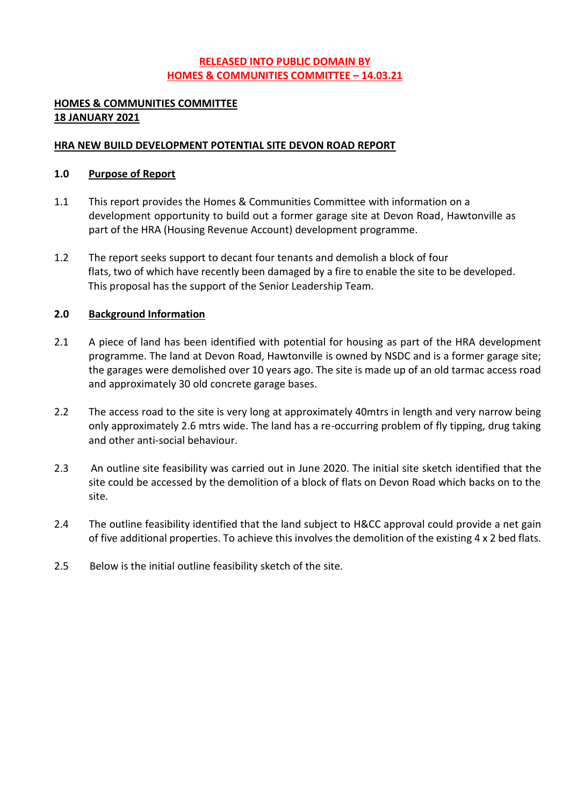## **RELEASED INTO PUBLIC DOMAIN BY HOMES & COMMUNITIES COMMITTEE – 14.03.21**

#### **HOMES & COMMUNITIES COMMITTEE 18 JANUARY 2021**

#### **HRA NEW BUILD DEVELOPMENT POTENTIAL SITE DEVON ROAD REPORT**

#### **1.0 Purpose of Report**

- 1.1 This report provides the Homes & Communities Committee with information on a development opportunity to build out a former garage site at Devon Road, Hawtonville as part of the HRA (Housing Revenue Account) development programme.
- 1.2 The report seeks support to decant four tenants and demolish a block of four flats, two of which have recently been damaged by a fire to enable the site to be developed. This proposal has the support of the Senior Leadership Team.

### **2.0 Background Information**

- 2.1 A piece of land has been identified with potential for housing as part of the HRA development programme. The land at Devon Road, Hawtonville is owned by NSDC and is a former garage site; the garages were demolished over 10 years ago. The site is made up of an old tarmac access road and approximately 30 old concrete garage bases.
- 2.2 The access road to the site is very long at approximately 40mtrs in length and very narrow being only approximately 2.6 mtrs wide. The land has a re-occurring problem of fly tipping, drug taking and other anti-social behaviour.
- 2.3 An outline site feasibility was carried out in June 2020. The initial site sketch identified that the site could be accessed by the demolition of a block of flats on Devon Road which backs on to the site.
- 2.4 The outline feasibility identified that the land subject to H&CC approval could provide a net gain of five additional properties. To achieve this involves the demolition of the existing 4 x 2 bed flats.
- 2.5 Below is the initial outline feasibility sketch of the site.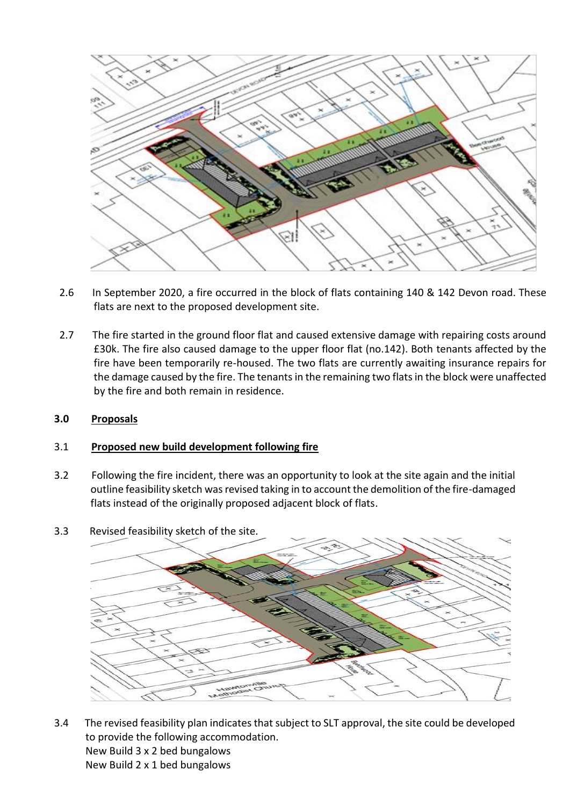

- 2.6 In September 2020, a fire occurred in the block of flats containing 140 & 142 Devon road. These flats are next to the proposed development site.
- 2.7 The fire started in the ground floor flat and caused extensive damage with repairing costs around £30k. The fire also caused damage to the upper floor flat (no.142). Both tenants affected by the fire have been temporarily re-housed. The two flats are currently awaiting insurance repairs for the damage caused by the fire. The tenants in the remaining two flats in the block were unaffected by the fire and both remain in residence.

## **3.0 Proposals**

#### 3.1 **Proposed new build development following fire**

- 3.2 Following the fire incident, there was an opportunity to look at the site again and the initial outline feasibility sketch was revised taking in to account the demolition of the fire-damaged flats instead of the originally proposed adjacent block of flats.
- 3.3 Revised feasibility sketch of the site.



3.4 The revised feasibility plan indicates that subject to SLT approval, the site could be developed to provide the following accommodation. New Build 3 x 2 bed bungalows New Build 2 x 1 bed bungalows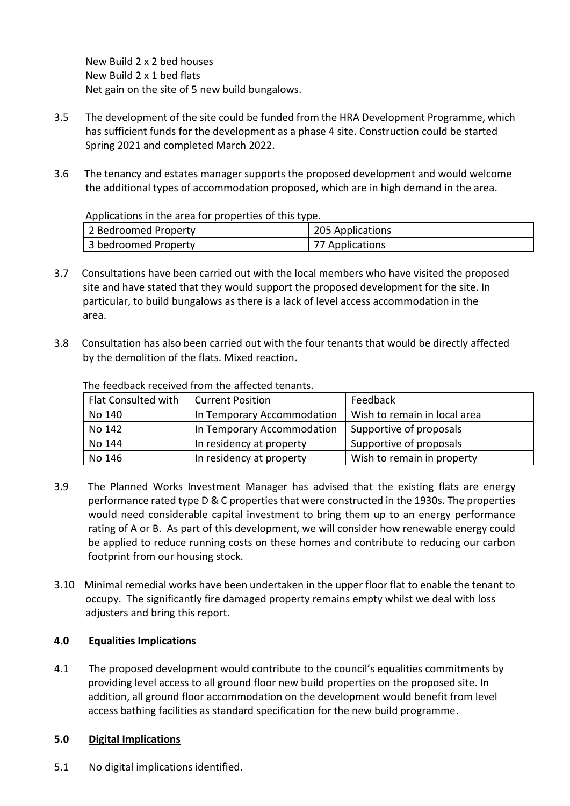New Build 2 x 2 bed houses New Build 2 x 1 bed flats Net gain on the site of 5 new build bungalows.

- 3.5 The development of the site could be funded from the HRA Development Programme, which has sufficient funds for the development as a phase 4 site. Construction could be started Spring 2021 and completed March 2022.
- 3.6 The tenancy and estates manager supports the proposed development and would welcome the additional types of accommodation proposed, which are in high demand in the area.

Applications in the area for properties of this type.

| 2 Bedroomed Property | 205 Applications |
|----------------------|------------------|
| 3 bedroomed Property | 77 Applications  |

- 3.7 Consultations have been carried out with the local members who have visited the proposed site and have stated that they would support the proposed development for the site. In particular, to build bungalows as there is a lack of level access accommodation in the area.
- 3.8 Consultation has also been carried out with the four tenants that would be directly affected by the demolition of the flats. Mixed reaction.

| Flat Consulted with | <b>Current Position</b>                                    | Feedback                   |
|---------------------|------------------------------------------------------------|----------------------------|
| No 140              | Wish to remain in local area<br>In Temporary Accommodation |                            |
| No 142              | In Temporary Accommodation                                 | Supportive of proposals    |
| No 144              | In residency at property                                   | Supportive of proposals    |
| No 146              | In residency at property                                   | Wish to remain in property |

The feedback received from the affected tenants.

- 3.9 The Planned Works Investment Manager has advised that the existing flats are energy performance rated type D & C properties that were constructed in the 1930s. The properties would need considerable capital investment to bring them up to an energy performance rating of A or B. As part of this development, we will consider how renewable energy could be applied to reduce running costs on these homes and contribute to reducing our carbon footprint from our housing stock.
- 3.10 Minimal remedial works have been undertaken in the upper floor flat to enable the tenant to occupy. The significantly fire damaged property remains empty whilst we deal with loss adjusters and bring this report.

## **4.0 Equalities Implications**

4.1 The proposed development would contribute to the council's equalities commitments by providing level access to all ground floor new build properties on the proposed site. In addition, all ground floor accommodation on the development would benefit from level access bathing facilities as standard specification for the new build programme.

## **5.0 Digital Implications**

5.1 No digital implications identified.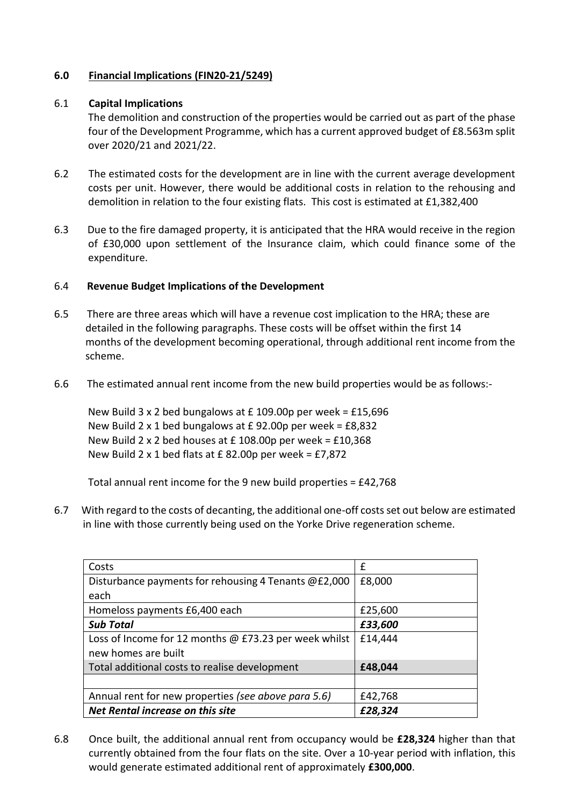### **6.0 Financial Implications (FIN20-21/5249)**

#### 6.1 **Capital Implications**

The demolition and construction of the properties would be carried out as part of the phase four of the Development Programme, which has a current approved budget of £8.563m split over 2020/21 and 2021/22.

- 6.2 The estimated costs for the development are in line with the current average development costs per unit. However, there would be additional costs in relation to the rehousing and demolition in relation to the four existing flats. This cost is estimated at £1,382,400
- 6.3 Due to the fire damaged property, it is anticipated that the HRA would receive in the region of £30,000 upon settlement of the Insurance claim, which could finance some of the expenditure.

### 6.4 **Revenue Budget Implications of the Development**

- 6.5 There are three areas which will have a revenue cost implication to the HRA; these are detailed in the following paragraphs. These costs will be offset within the first 14 months of the development becoming operational, through additional rent income from the scheme.
- 6.6 The estimated annual rent income from the new build properties would be as follows:-

 New Build 3 x 2 bed bungalows at £ 109.00p per week = £15,696 New Build 2 x 1 bed bungalows at  $E$  92.00p per week =  $E$ 8,832 New Build 2 x 2 bed houses at £ 108.00p per week = £10,368 New Build 2 x 1 bed flats at  $E$  82.00p per week = £7,872

Total annual rent income for the 9 new build properties = £42,768

6.7 With regard to the costs of decanting, the additional one-off costs set out below are estimated in line with those currently being used on the Yorke Drive regeneration scheme.

| Costs                                                 | f       |
|-------------------------------------------------------|---------|
| Disturbance payments for rehousing 4 Tenants @£2,000  | £8,000  |
| each                                                  |         |
| Homeloss payments £6,400 each                         | £25,600 |
| <b>Sub Total</b>                                      | £33,600 |
| Loss of Income for 12 months @ £73.23 per week whilst | £14,444 |
| new homes are built                                   |         |
| Total additional costs to realise development         | £48,044 |
|                                                       |         |
| Annual rent for new properties (see above para 5.6)   | £42,768 |
| Net Rental increase on this site                      | £28,324 |

6.8 Once built, the additional annual rent from occupancy would be **£28,324** higher than that currently obtained from the four flats on the site. Over a 10-year period with inflation, this would generate estimated additional rent of approximately **£300,000**.